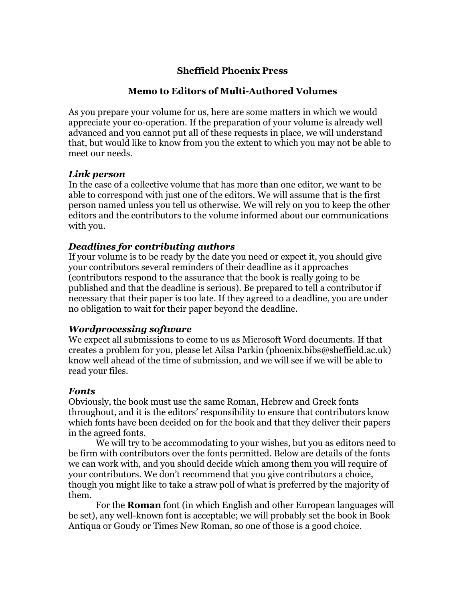# **Sheffield Phoenix Press**

#### **Memo to Editors of Multi-Authored Volumes**

As you prepare your volume for us, here are some matters in which we would appreciate your co-operation. If the preparation of your volume is already well advanced and you cannot put all of these requests in place, we will understand that, but would like to know from you the extent to which you may not be able to meet our needs.

#### *Link person*

In the case of a collective volume that has more than one editor, we want to be able to correspond with just one of the editors. We will assume that is the first person named unless you tell us otherwise. We will rely on you to keep the other editors and the contributors to the volume informed about our communications with you.

## *Deadlines for contributing authors*

If your volume is to be ready by the date you need or expect it, you should give your contributors several reminders of their deadline as it approaches (contributors respond to the assurance that the book is really going to be published and that the deadline is serious). Be prepared to tell a contributor if necessary that their paper is too late. If they agreed to a deadline, you are under no obligation to wait for their paper beyond the deadline.

#### *Wordprocessing software*

We expect all submissions to come to us as Microsoft Word documents. If that creates a problem for you, please let Ailsa Parkin (phoenix.bibs@sheffield.ac.uk) know well ahead of the time of submission, and we will see if we will be able to read your files.

#### *Fonts*

Obviously, the book must use the same Roman, Hebrew and Greek fonts throughout, and it is the editors' responsibility to ensure that contributors know which fonts have been decided on for the book and that they deliver their papers in the agreed fonts.

We will try to be accommodating to your wishes, but you as editors need to be firm with contributors over the fonts permitted. Below are details of the fonts we can work with, and you should decide which among them you will require of your contributors. We don't recommend that you give contributors a choice, though you might like to take a straw poll of what is preferred by the majority of them.

For the **Roman** font (in which English and other European languages will be set), any well-known font is acceptable; we will probably set the book in Book Antiqua or Goudy or Times New Roman, so one of those is a good choice.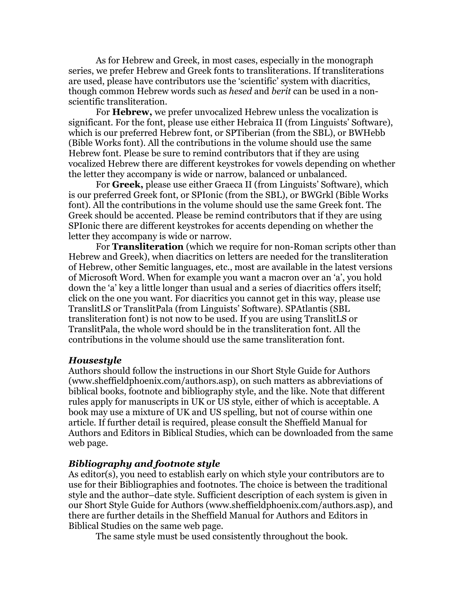As for Hebrew and Greek, in most cases, especially in the monograph series, we prefer Hebrew and Greek fonts to transliterations. If transliterations are used, please have contributors use the 'scientific' system with diacritics, though common Hebrew words such as *hesed* and *berit* can be used in a nonscientific transliteration.

For **Hebrew,** we prefer unvocalized Hebrew unless the vocalization is significant. For the font, please use either Hebraica II (from Linguists' Software), which is our preferred Hebrew font, or SPTiberian (from the SBL), or BWHebb (Bible Works font). All the contributions in the volume should use the same Hebrew font. Please be sure to remind contributors that if they are using vocalized Hebrew there are different keystrokes for vowels depending on whether the letter they accompany is wide or narrow, balanced or unbalanced.

For **Greek,** please use either Graeca II (from Linguists' Software), which is our preferred Greek font, or SPIonic (from the SBL), or BWGrkl (Bible Works font). All the contributions in the volume should use the same Greek font. The Greek should be accented. Please be remind contributors that if they are using SPIonic there are different keystrokes for accents depending on whether the letter they accompany is wide or narrow.

For **Transliteration** (which we require for non-Roman scripts other than Hebrew and Greek), when diacritics on letters are needed for the transliteration of Hebrew, other Semitic languages, etc., most are available in the latest versions of Microsoft Word. When for example you want a macron over an 'a', you hold down the 'a' key a little longer than usual and a series of diacritics offers itself; click on the one you want. For diacritics you cannot get in this way, please use TranslitLS or TranslitPala (from Linguists' Software). SPAtlantis (SBL transliteration font) is not now to be used. If you are using TranslitLS or TranslitPala, the whole word should be in the transliteration font. All the contributions in the volume should use the same transliteration font.

#### *Housestyle*

Authors should follow the instructions in our Short Style Guide for Authors (www.sheffieldphoenix.com/authors.asp), on such matters as abbreviations of biblical books, footnote and bibliography style, and the like. Note that different rules apply for manuscripts in UK or US style, either of which is acceptable. A book may use a mixture of UK and US spelling, but not of course within one article. If further detail is required, please consult the Sheffield Manual for Authors and Editors in Biblical Studies, which can be downloaded from the same web page.

#### *Bibliography and footnote style*

As editor(s), you need to establish early on which style your contributors are to use for their Bibliographies and footnotes. The choice is between the traditional style and the author–date style. Sufficient description of each system is given in our Short Style Guide for Authors (www.sheffieldphoenix.com/authors.asp), and there are further details in the Sheffield Manual for Authors and Editors in Biblical Studies on the same web page.

The same style must be used consistently throughout the book.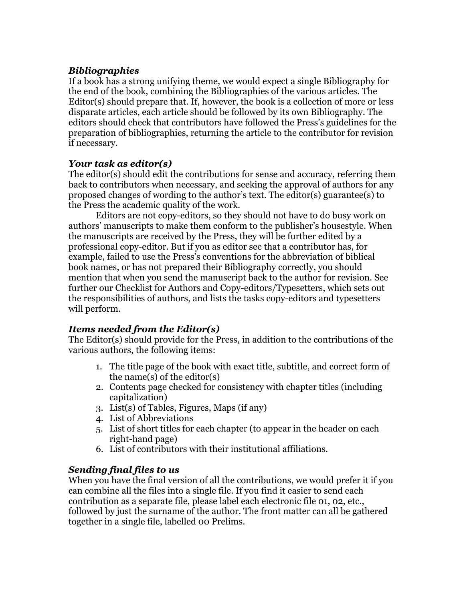# *Bibliographies*

If a book has a strong unifying theme, we would expect a single Bibliography for the end of the book, combining the Bibliographies of the various articles. The Editor(s) should prepare that. If, however, the book is a collection of more or less disparate articles, each article should be followed by its own Bibliography. The editors should check that contributors have followed the Press's guidelines for the preparation of bibliographies, returning the article to the contributor for revision if necessary.

# *Your task as editor(s)*

The editor(s) should edit the contributions for sense and accuracy, referring them back to contributors when necessary, and seeking the approval of authors for any proposed changes of wording to the author's text. The editor(s) guarantee(s) to the Press the academic quality of the work.

Editors are not copy-editors, so they should not have to do busy work on authors' manuscripts to make them conform to the publisher's housestyle. When the manuscripts are received by the Press, they will be further edited by a professional copy-editor. But if you as editor see that a contributor has, for example, failed to use the Press's conventions for the abbreviation of biblical book names, or has not prepared their Bibliography correctly, you should mention that when you send the manuscript back to the author for revision. See further our Checklist for Authors and Copy-editors/Typesetters, which sets out the responsibilities of authors, and lists the tasks copy-editors and typesetters will perform.

# *Items needed from the Editor(s)*

The Editor(s) should provide for the Press, in addition to the contributions of the various authors, the following items:

- 1. The title page of the book with exact title, subtitle, and correct form of the name(s) of the editor(s)
- 2. Contents page checked for consistency with chapter titles (including capitalization)
- 3. List(s) of Tables, Figures, Maps (if any)
- 4. List of Abbreviations
- 5. List of short titles for each chapter (to appear in the header on each right-hand page)
- 6. List of contributors with their institutional affiliations.

# *Sending final files to us*

When you have the final version of all the contributions, we would prefer it if you can combine all the files into a single file. If you find it easier to send each contribution as a separate file, please label each electronic file 01, 02, etc., followed by just the surname of the author. The front matter can all be gathered together in a single file, labelled 00 Prelims.